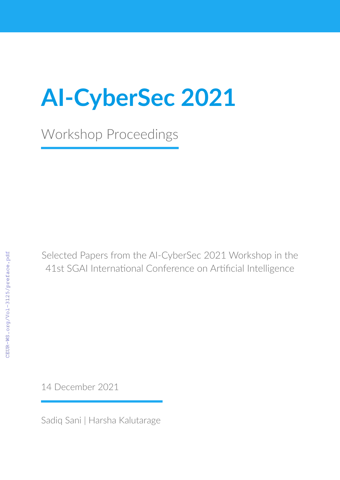# **AI-CyberSec 2021**

Workshop Proceedings

Selected Papers from the AI-CyberSec 2021 Workshop in the 41st SGAI International Conference on Artificial Intelligence

14 December 2021

Sadiq Sani | Harsha Kalutarage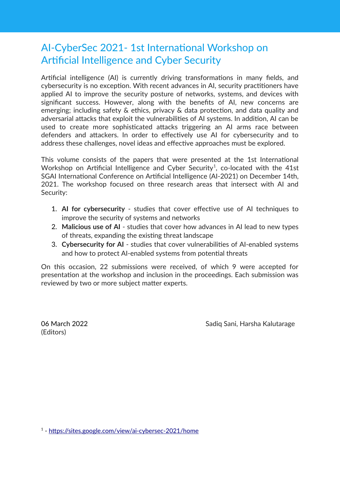## AI-CyberSec 2021- 1st International Workshop on Artificial Intelligence and Cyber Security

Artificial intelligence (AI) is currently driving transformations in many fields, and cybersecurity is no exception. With recent advances in AI, security practitioners have applied AI to improve the security posture of networks, systems, and devices with significant success. However, along with the benefits of AI, new concerns are emerging; including safety & ethics, privacy & data protection, and data quality and adversarial attacks that exploit the vulnerabilities of AI systems. In addition, AI can be used to create more sophisticated attacks triggering an AI arms race between defenders and attackers. In order to effectively use AI for cybersecurity and to address these challenges, novel ideas and effective approaches must be explored.

This volume consists of the papers that were presented at the 1st International Workshop on Artificial Intelligence and Cyber Security<sup>1</sup>, co-located with the 41st SGAI International Conference on Artificial Intelligence (AI-2021) on December 14th, 2021. The workshop focused on three research areas that intersect with AI and Security:

- 1. **AI for cybersecurity**  studies that cover effective use of AI techniques to improve the security of systems and networks
- 2. **Malicious use of AI**  studies that cover how advances in AI lead to new types of threats, expanding the existing threat landscape
- 3. **Cybersecurity for AI**  studies that cover vulnerabilities of AI-enabled systems and how to protect AI-enabled systems from potential threats

On this occasion, 22 submissions were received, of which 9 were accepted for presentation at the workshop and inclusion in the proceedings. Each submission was reviewed by two or more subject matter experts.

(Editors)

06 March 2022 Sadiq Sani, Harsha Kalutarage

<sup>1</sup> -<https://sites.google.com/view/ai-cybersec-2021/home>